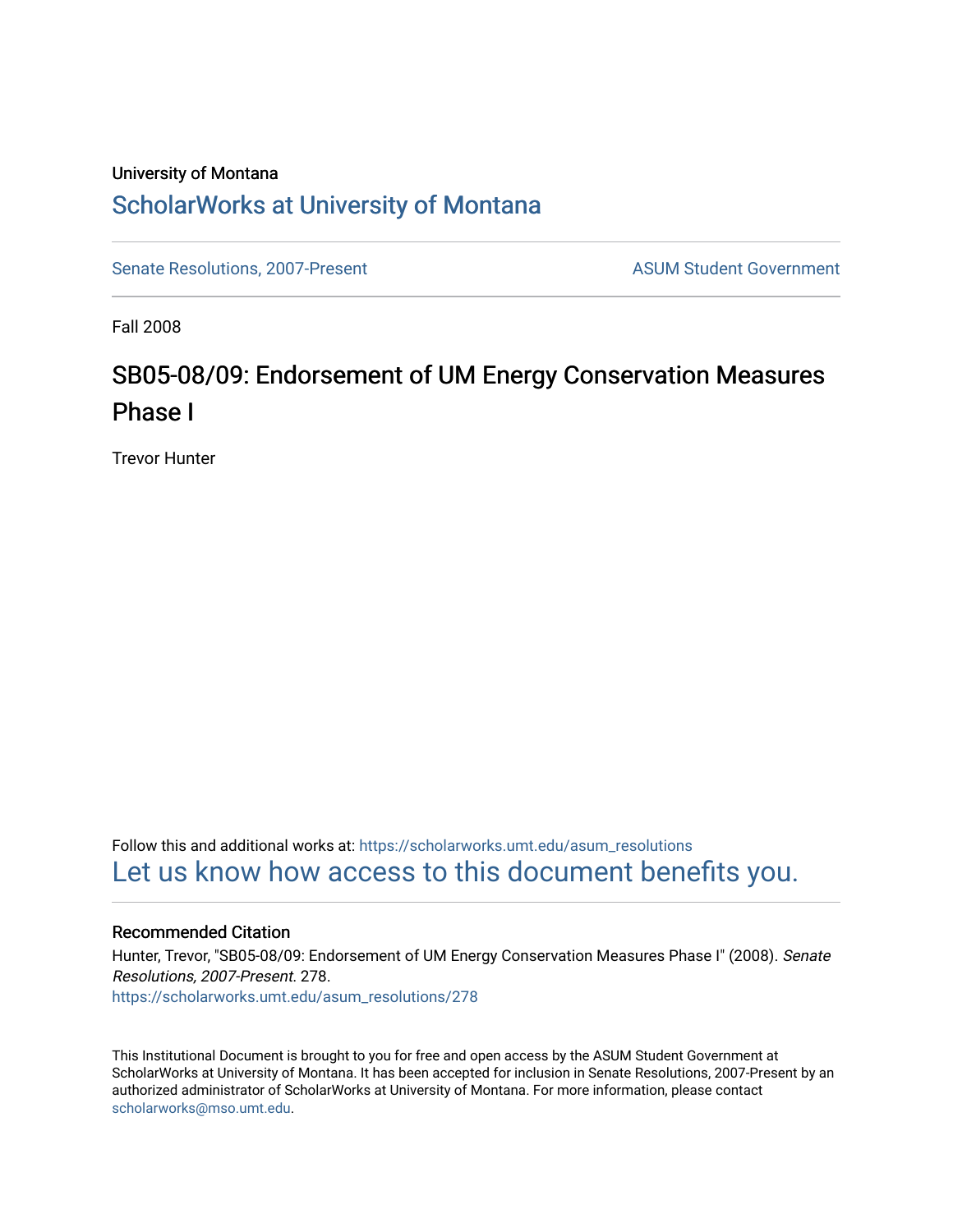## University of Montana [ScholarWorks at University of Montana](https://scholarworks.umt.edu/)

[Senate Resolutions, 2007-Present](https://scholarworks.umt.edu/asum_resolutions) ASUM Student Government

Fall 2008

## SB05-08/09: Endorsement of UM Energy Conservation Measures Phase I

Trevor Hunter

Follow this and additional works at: [https://scholarworks.umt.edu/asum\\_resolutions](https://scholarworks.umt.edu/asum_resolutions?utm_source=scholarworks.umt.edu%2Fasum_resolutions%2F278&utm_medium=PDF&utm_campaign=PDFCoverPages) [Let us know how access to this document benefits you.](https://goo.gl/forms/s2rGfXOLzz71qgsB2) 

## Recommended Citation

Hunter, Trevor, "SB05-08/09: Endorsement of UM Energy Conservation Measures Phase I" (2008). Senate Resolutions, 2007-Present. 278. [https://scholarworks.umt.edu/asum\\_resolutions/278](https://scholarworks.umt.edu/asum_resolutions/278?utm_source=scholarworks.umt.edu%2Fasum_resolutions%2F278&utm_medium=PDF&utm_campaign=PDFCoverPages)

This Institutional Document is brought to you for free and open access by the ASUM Student Government at ScholarWorks at University of Montana. It has been accepted for inclusion in Senate Resolutions, 2007-Present by an authorized administrator of ScholarWorks at University of Montana. For more information, please contact [scholarworks@mso.umt.edu.](mailto:scholarworks@mso.umt.edu)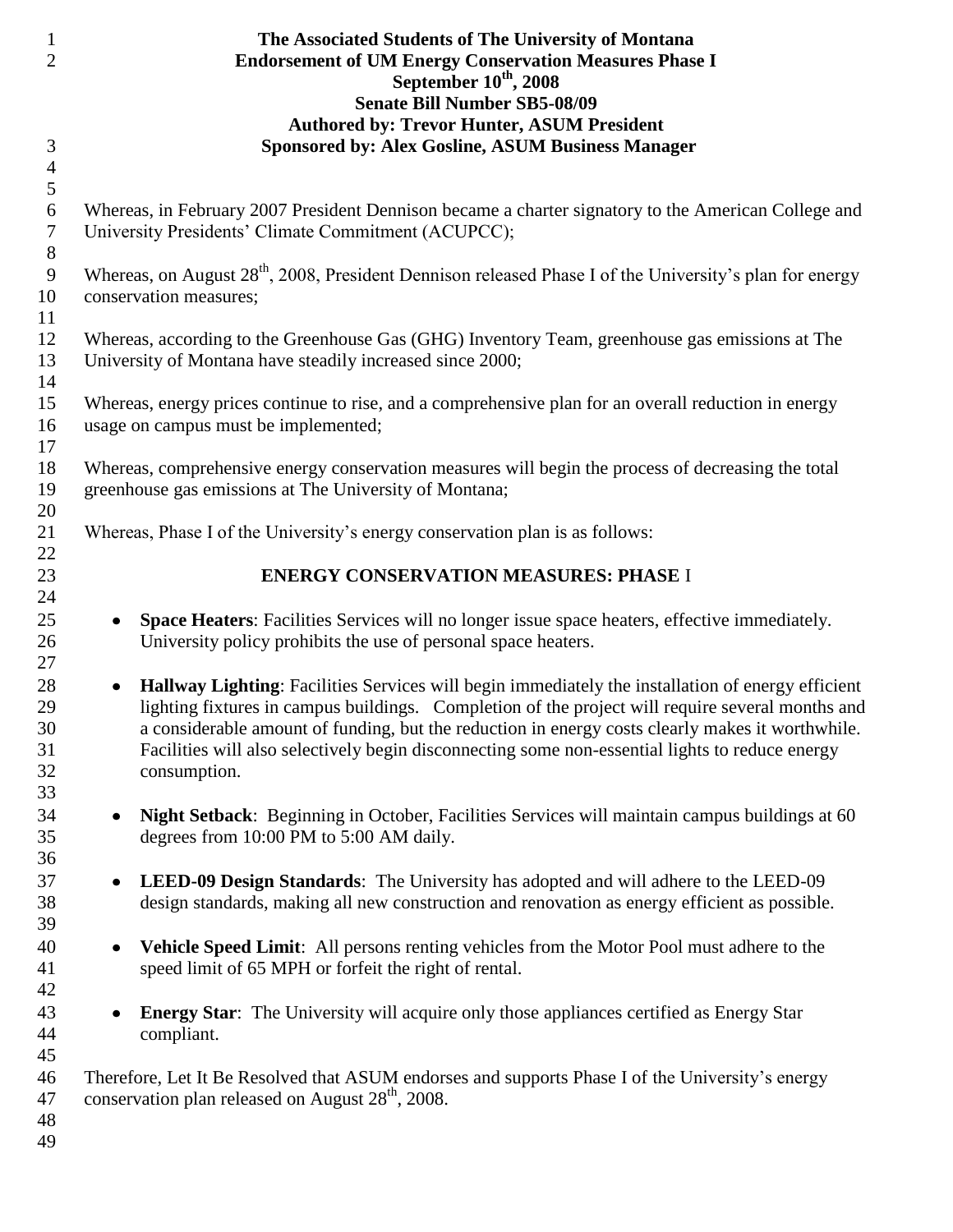| $\mathbf{1}$<br>$\overline{2}$       | The Associated Students of The University of Montana<br><b>Endorsement of UM Energy Conservation Measures Phase I</b><br>September $10^{th}$ , 2008<br><b>Senate Bill Number SB5-08/09</b><br><b>Authored by: Trevor Hunter, ASUM President</b>                                                                                                                                                                              |
|--------------------------------------|------------------------------------------------------------------------------------------------------------------------------------------------------------------------------------------------------------------------------------------------------------------------------------------------------------------------------------------------------------------------------------------------------------------------------|
| 3<br>$\overline{4}$                  | <b>Sponsored by: Alex Gosline, ASUM Business Manager</b>                                                                                                                                                                                                                                                                                                                                                                     |
| $\sqrt{5}$<br>6<br>$\tau$<br>$\,8\,$ | Whereas, in February 2007 President Dennison became a charter signatory to the American College and<br>University Presidents' Climate Commitment (ACUPCC);                                                                                                                                                                                                                                                                   |
| $\overline{9}$<br>10<br>11           | Whereas, on August 28 <sup>th</sup> , 2008, President Dennison released Phase I of the University's plan for energy<br>conservation measures;                                                                                                                                                                                                                                                                                |
| 12<br>13<br>14                       | Whereas, according to the Greenhouse Gas (GHG) Inventory Team, greenhouse gas emissions at The<br>University of Montana have steadily increased since 2000;                                                                                                                                                                                                                                                                  |
| 15<br>16<br>17                       | Whereas, energy prices continue to rise, and a comprehensive plan for an overall reduction in energy<br>usage on campus must be implemented;                                                                                                                                                                                                                                                                                 |
| 18<br>19                             | Whereas, comprehensive energy conservation measures will begin the process of decreasing the total<br>greenhouse gas emissions at The University of Montana;                                                                                                                                                                                                                                                                 |
| 20<br>21<br>22                       | Whereas, Phase I of the University's energy conservation plan is as follows:                                                                                                                                                                                                                                                                                                                                                 |
| 23<br>24                             | <b>ENERGY CONSERVATION MEASURES: PHASE I</b>                                                                                                                                                                                                                                                                                                                                                                                 |
| 25<br>26<br>27                       | <b>Space Heaters:</b> Facilities Services will no longer issue space heaters, effective immediately.<br>University policy prohibits the use of personal space heaters.                                                                                                                                                                                                                                                       |
| 28<br>29<br>30<br>31<br>32<br>33     | Hallway Lighting: Facilities Services will begin immediately the installation of energy efficient<br>lighting fixtures in campus buildings. Completion of the project will require several months and<br>a considerable amount of funding, but the reduction in energy costs clearly makes it worthwhile.<br>Facilities will also selectively begin disconnecting some non-essential lights to reduce energy<br>consumption. |
| 34<br>35<br>36                       | Night Setback: Beginning in October, Facilities Services will maintain campus buildings at 60<br>degrees from 10:00 PM to 5:00 AM daily.                                                                                                                                                                                                                                                                                     |
| 37<br>38<br>39                       | LEED-09 Design Standards: The University has adopted and will adhere to the LEED-09<br>design standards, making all new construction and renovation as energy efficient as possible.                                                                                                                                                                                                                                         |
| 40<br>41<br>42                       | Vehicle Speed Limit: All persons renting vehicles from the Motor Pool must adhere to the<br>speed limit of 65 MPH or forfeit the right of rental.                                                                                                                                                                                                                                                                            |
| 43<br>44<br>45                       | <b>Energy Star:</b> The University will acquire only those appliances certified as Energy Star<br>compliant.                                                                                                                                                                                                                                                                                                                 |
| 46<br>47<br>48<br>49                 | Therefore, Let It Be Resolved that ASUM endorses and supports Phase I of the University's energy<br>conservation plan released on August 28 <sup>th</sup> , 2008.                                                                                                                                                                                                                                                            |